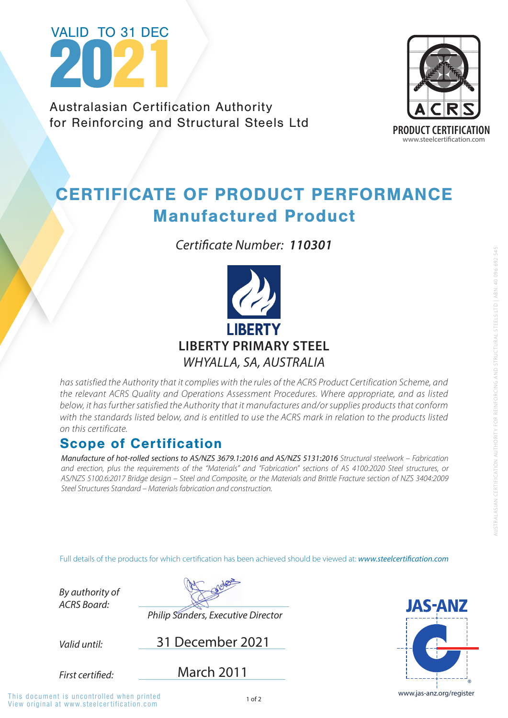

*has satisfied the Authority that it complies with the rules of the ACRS Product Certification Scheme, and the relevant ACRS Quality and Operations Assessment Procedures. Where appropriate, and as listed below, it has further satisfied the Authority that it manufactures and/or supplies products that conform*  with the standards listed below, and is entitled to use the ACRS mark in relation to the products listed *on this certificate.*

www.jas-anz.org/register

**JAS-ANZ** 

Full details of the products for which certification has been achieved should be viewed at: **www.steelcertification.com** 

# Scope of Certification

*Valid until: By authority of ACRS Board:* First certified: 31 December 2021 *Philip Sanders, Executive Director* March 2011



Australasian Certification Authority for Reinforcing and Structural Steels Ltd

View original at www.steelcer tification.com This document is uncontrolled when printed

# CERTIFICATE OF PRODUCT PERFORMANCE Manufactured Product

*Manufacture of hot-rolled sections to AS/NZS 3679.1:2016 and AS/NZS 5131:2016 Structural steelwork – Fabrication and erection, plus the requirements of the "Materials" and "Fabrication" sections of AS 4100:2020 Steel structures, or AS/NZS 5100.6:2017 Bridge design – Steel and Composite, or the Materials and Brittle Fracture section of NZS 3404:2009 Steel Structures Standard – Materials fabrication and construction.*



*Certificate Number: 110301*